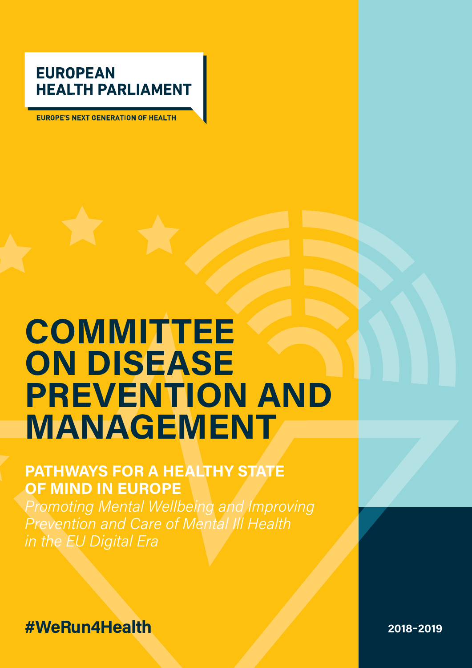#### **EUROPEAN HEALTH PARLIAMENT**

**FUROPE'S NEXT GENERATION OF HEALTH** 

## **COMMITTEE ON DISEASE PREVENTION AND MANAGEMENT**

#### **PATHWAYS FOR A HEALTHY STATE OF MIND IN EUROPE**

*Promoting Mental Wellbeing and Improving Prevention and Care of Mental Ill Health in the EU Digital Era*

**#WeRun4Health**

**2018–2019**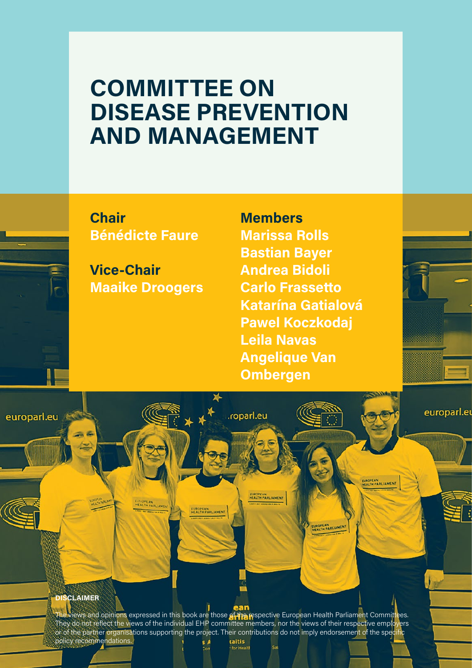### **COMMITTEE ON DISEASE PREVENTION AND MANAGEMENT**

**Chair Bénédicte Faure**

**Vice-Chair Maaike Droogers** 

**Members Marissa Rolls Bastian Bayer Andrea Bidoli Carlo Frassetto Katarína Gatialová Pawel Koczkodaj Leila Navas Angelique Van Ombergen** 



europarl.et

**UROPEAN**<br>GALTH PARLIAMENT

**UROPEAN**<br>MEALTH PARLIAMEN

europarl.eu

#### **DISCLAIMER**

The views and opinions expressed in this book are those of the respective European Health Parliament Committees. They do not reflect the views of the individual EHP committee members, nor the views of their respective employers or of the partner organisations supporting the project. Their contributions do not imply endorsement of the specific policy recommendations.

roparl.eu

EUROPEAN<br>HEALTH PARLIAMENT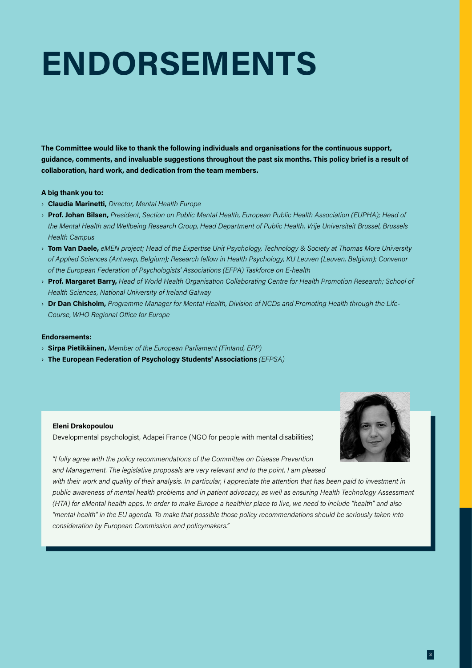## **ENDORSEMENTS**

**The Committee would like to thank the following individuals and organisations for the continuous support, guidance, comments, and invaluable suggestions throughout the past six months. This policy brief is a result of collaboration, hard work, and dedication from the team members.**

#### **A big thank you to:**

- › **Claudia Marinetti,** *Director, Mental Health Europe*
- › **Prof. Johan Bilsen,** *President, Section on Public Mental Health, European Public Health Association (EUPHA); Head of the Mental Health and Wellbeing Research Group, Head Department of Public Health, Vrije Universiteit Brussel, Brussels Health Campus*
- › **Tom Van Daele,** *eMEN project; Head of the Expertise Unit Psychology, Technology & Society at Thomas More University of Applied Sciences (Antwerp, Belgium); Research fellow in Health Psychology, KU Leuven (Leuven, Belgium); Convenor of the European Federation of Psychologists' Associations (EFPA) Taskforce on E-health*
- › **Prof. Margaret Barry,** *Head of World Health Organisation Collaborating Centre for Health Promotion Research; School of Health Sciences, National University of Ireland Galway*
- › **Dr Dan Chisholm,** *Programme Manager for Mental Health, Division of NCDs and Promoting Health through the Life-Course, WHO Regional Office for Europe*

#### **Endorsements:**

- › **Sirpa Pietikäinen,** *Member of the European Parliament (Finland, EPP)*
- › **The European Federation of Psychology Students' Associations** *(EFPSA)*



#### **Eleni Drakopoulou**

Developmental psychologist, Adapei France (NGO for people with mental disabilities)

*"I fully agree with the policy recommendations of the Committee on Disease Prevention and Management. The legislative proposals are very relevant and to the point. I am pleased* 

with their work and quality of their analysis. In particular, I appreciate the attention that has been paid to investment in *public awareness of mental health problems and in patient advocacy, as well as ensuring Health Technology Assessment (HTA) for eMental health apps. In order to make Europe a healthier place to live, we need to include "health" and also "mental health" in the EU agenda. To make that possible those policy recommendations should be seriously taken into consideration by European Commission and policymakers."*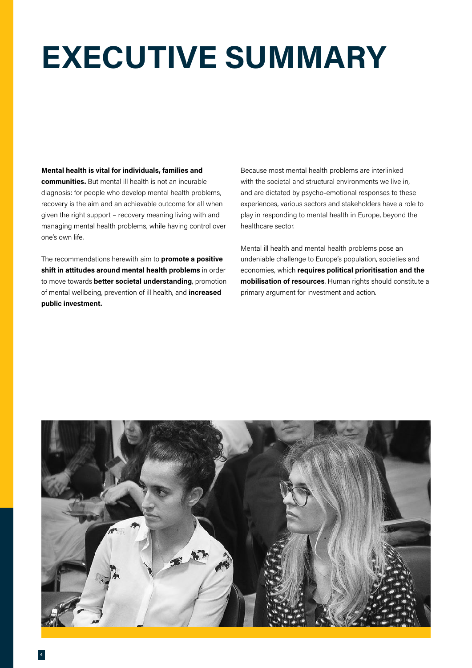## **EXECUTIVE SUMMARY**

#### **Mental health is vital for individuals, families and**

**communities.** But mental ill health is not an incurable diagnosis: for people who develop mental health problems, recovery is the aim and an achievable outcome for all when given the right support – recovery meaning living with and managing mental health problems, while having control over one's own life.

The recommendations herewith aim to **promote a positive shift in attitudes around mental health problems** in order to move towards **better societal understanding**, promotion of mental wellbeing, prevention of ill health, and **increased public investment.** 

Because most mental health problems are interlinked with the societal and structural environments we live in, and are dictated by psycho-emotional responses to these experiences, various sectors and stakeholders have a role to play in responding to mental health in Europe, beyond the healthcare sector.

Mental ill health and mental health problems pose an undeniable challenge to Europe's population, societies and economies, which **requires political prioritisation and the mobilisation of resources**. Human rights should constitute a primary argument for investment and action.

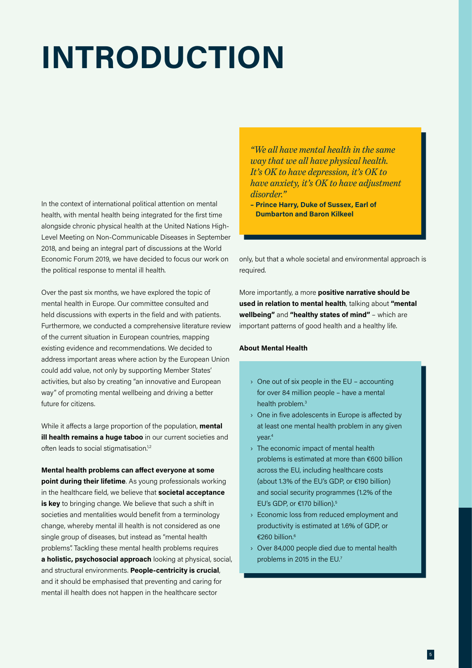## **INTRODUCTION**

In the context of international political attention on mental health, with mental health being integrated for the first time alongside chronic physical health at the United Nations High-Level Meeting on Non-Communicable Diseases in September 2018, and being an integral part of discussions at the World Economic Forum 2019, we have decided to focus our work on the political response to mental ill health.

Over the past six months, we have explored the topic of mental health in Europe. Our committee consulted and held discussions with experts in the field and with patients. Furthermore, we conducted a comprehensive literature review of the current situation in European countries, mapping existing evidence and recommendations. We decided to address important areas where action by the European Union could add value, not only by supporting Member States' activities, but also by creating "an innovative and European way" of promoting mental wellbeing and driving a better future for citizens.

While it affects a large proportion of the population, **mental ill health remains a huge taboo** in our current societies and often leads to social stigmatisation.<sup>1,2</sup>

**Mental health problems can affect everyone at some point during their lifetime**. As young professionals working in the healthcare field, we believe that **societal acceptance is key** to bringing change. We believe that such a shift in societies and mentalities would benefit from a terminology change, whereby mental ill health is not considered as one single group of diseases, but instead as "mental health problems". Tackling these mental health problems requires **a holistic, psychosocial approach** looking at physical, social, and structural environments. **People-centricity is crucial**, and it should be emphasised that preventing and caring for mental ill health does not happen in the healthcare sector

*"We all have mental health in the same way that we all have physical health. It's OK to have depression, it's OK to have anxiety, it's OK to have adjustment disorder."* 

**– Prince Harry, Duke of Sussex, Earl of Dumbarton and Baron Kilkeel** 

only, but that a whole societal and environmental approach is required.

More importantly, a more **positive narrative should be used in relation to mental health**, talking about **"mental wellbeing"** and **"healthy states of mind"** – which are important patterns of good health and a healthy life.

#### **About Mental Health**

- › One out of six people in the EU accounting for over 84 million people – have a mental health problem.<sup>3</sup>
- $\rightarrow$  One in five adolescents in Europe is affected by at least one mental health problem in any given year.4
- › The economic impact of mental health problems is estimated at more than €600 billion across the EU, including healthcare costs (about 1.3% of the EU's GDP, or €190 billion) and social security programmes (1.2% of the EU's GDP, or €170 billion).5
- › Economic loss from reduced employment and productivity is estimated at 1.6% of GDP, or €260 billion.6
- › Over 84,000 people died due to mental health problems in 2015 in the EU.7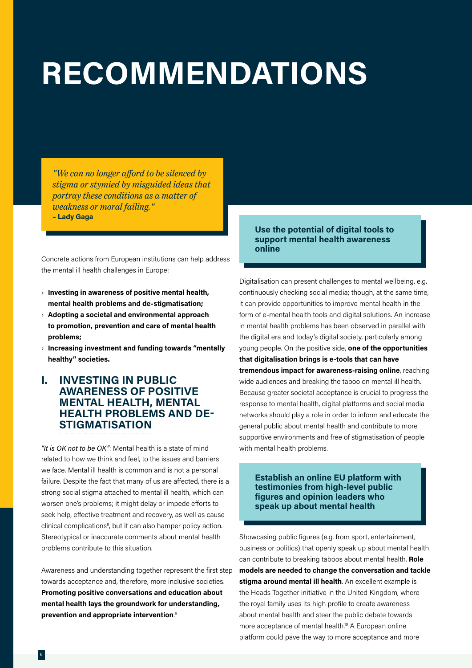## **RECOMMENDATIONS**

*"We can no longer afford to be silenced by stigma or stymied by misguided ideas that portray these conditions as a matter of weakness or moral failing."* **– Lady Gaga**

Concrete actions from European institutions can help address the mental ill health challenges in Europe:

- › **Investing in awareness of positive mental health, mental health problems and de-stigmatisation;**
- › **Adopting a societal and environmental approach to promotion, prevention and care of mental health problems;**
- › **Increasing investment and funding towards "mentally healthy" societies.**

#### **I. INVESTING IN PUBLIC AWARENESS OF POSITIVE MENTAL HEALTH, MENTAL HEALTH PROBLEMS AND DE-STIGMATISATION**

*"It is OK not to be OK"*: Mental health is a state of mind related to how we think and feel, to the issues and barriers we face. Mental ill health is common and is not a personal failure. Despite the fact that many of us are affected, there is a strong social stigma attached to mental ill health, which can worsen one's problems; it might delay or impede efforts to seek help, effective treatment and recovery, as well as cause clinical complications<sup>8</sup>, but it can also hamper policy action. Stereotypical or inaccurate comments about mental health problems contribute to this situation.

Awareness and understanding together represent the first step towards acceptance and, therefore, more inclusive societies. **Promoting positive conversations and education about mental health lays the groundwork for understanding, prevention and appropriate intervention**. 9

#### **Use the potential of digital tools to support mental health awareness online**

Digitalisation can present challenges to mental wellbeing, e.g. continuously checking social media; though, at the same time, it can provide opportunities to improve mental health in the form of e-mental health tools and digital solutions. An increase in mental health problems has been observed in parallel with the digital era and today's digital society, particularly among young people. On the positive side, **one of the opportunities that digitalisation brings is e-tools that can have tremendous impact for awareness-raising online**, reaching wide audiences and breaking the taboo on mental ill health. Because greater societal acceptance is crucial to progress the response to mental health, digital platforms and social media networks should play a role in order to inform and educate the general public about mental health and contribute to more supportive environments and free of stigmatisation of people with mental health problems.

#### **Establish an online EU platform with testimonies from high-level public figures and opinion leaders who speak up about mental health**

Showcasing public figures (e.g. from sport, entertainment, business or politics) that openly speak up about mental health can contribute to breaking taboos about mental health. **Role models are needed to change the conversation and tackle stigma around mental ill health**. An excellent example is the Heads Together initiative in the United Kingdom, where the royal family uses its high profile to create awareness about mental health and steer the public debate towards more acceptance of mental health.10 A European online platform could pave the way to more acceptance and more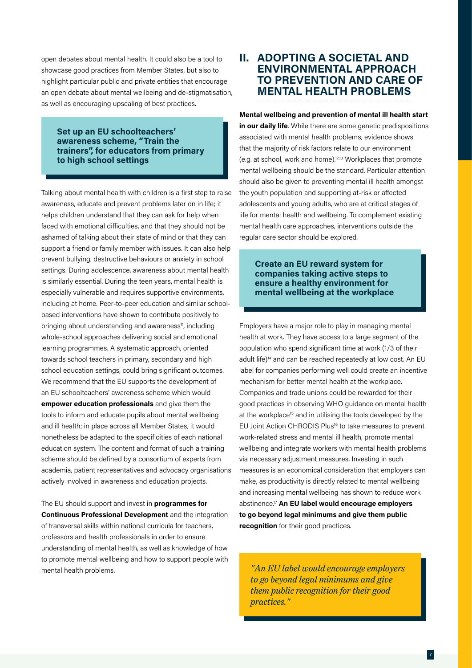open debates about mental health. It could also be a tool to showcase good practices from Member States, but also to highlight particular public and private entities that encourage an open debate about mental wellbeing and de-stigmatisation, as well as encouraging upscaling of best practices.

#### **Set up an EU schoolteachers' awareness scheme, "Train the trainers", for educators from primary to high school settings**

Talking about mental health with children is a first step to raise awareness, educate and prevent problems later on in life; it helps children understand that they can ask for help when faced with emotional difficulties, and that they should not be ashamed of talking about their state of mind or that they can support a friend or family member with issues. It can also help prevent bullying, destructive behaviours or anxiety in school settings. During adolescence, awareness about mental health is similarly essential. During the teen years, mental health is especially vulnerable and requires supportive environments, including at home. Peer-to-peer education and similar schoolbased interventions have shown to contribute positively to bringing about understanding and awareness<sup>11</sup>, including whole-school approaches delivering social and emotional learning programmes. A systematic approach, oriented towards school teachers in primary, secondary and high school education settings, could bring significant outcomes. We recommend that the EU supports the development of an EU schoolteachers' awareness scheme which would **empower education professionals** and give them the tools to inform and educate pupils about mental wellbeing and ill health; in place across all Member States, it would nonetheless be adapted to the specificities of each national education system. The content and format of such a training scheme should be defined by a consortium of experts from academia, patient representatives and advocacy organisations actively involved in awareness and education projects.

The EU should support and invest in **programmes for Continuous Professional Development** and the integration of transversal skills within national curricula for teachers, professors and health professionals in order to ensure understanding of mental health, as well as knowledge of how to promote mental wellbeing and how to support people with mental health problems.

#### **II. ADOPTING A SOCIETAL AND ENVIRONMENTAL APPROACH TO PREVENTION AND CARE OF MENTAL HEALTH PROBLEMS**

**Mental wellbeing and prevention of mental ill health start in our daily life**. While there are some genetic predispositions associated with mental health problems, evidence shows that the majority of risk factors relate to our environment (e.g. at school, work and home).12,13 Workplaces that promote mental wellbeing should be the standard. Particular attention should also be given to preventing mental ill health amongst the youth population and supporting at-risk or affected adolescents and young adults, who are at critical stages of life for mental health and wellbeing. To complement existing mental health care approaches, interventions outside the regular care sector should be explored.

#### **Create an EU reward system for companies taking active steps to ensure a healthy environment for mental wellbeing at the workplace**

Employers have a major role to play in managing mental health at work. They have access to a large segment of the population who spend significant time at work (1/3 of their adult life)<sup>14</sup> and can be reached repeatedly at low cost. An EU label for companies performing well could create an incentive mechanism for better mental health at the workplace. Companies and trade unions could be rewarded for their good practices in observing WHO guidance on mental health at the workplace<sup>15</sup> and in utilising the tools developed by the EU Joint Action CHRODIS Plus<sup>16</sup> to take measures to prevent work-related stress and mental ill health, promote mental wellbeing and integrate workers with mental health problems via necessary adjustment measures. Investing in such measures is an economical consideration that employers can make, as productivity is directly related to mental wellbeing and increasing mental wellbeing has shown to reduce work abstinence.17 **An EU label would encourage employers to go beyond legal minimums and give them public recognition** for their good practices.

*"An EU label would encourage employers to go beyond legal minimums and give them public recognition for their good practices."*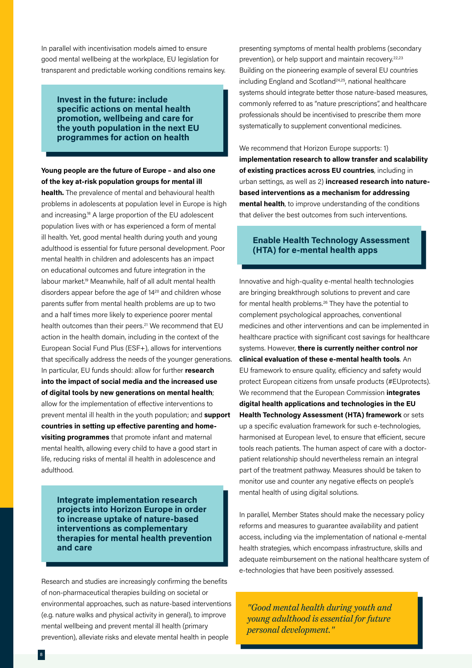In parallel with incentivisation models aimed to ensure good mental wellbeing at the workplace, EU legislation for transparent and predictable working conditions remains key.

**Invest in the future: include specific actions on mental health promotion, wellbeing and care for the youth population in the next EU programmes for action on health**

#### **Young people are the future of Europe – and also one of the key at-risk population groups for mental ill**

**health.** The prevalence of mental and behavioural health problems in adolescents at population level in Europe is high and increasing.<sup>18</sup> A large proportion of the EU adolescent population lives with or has experienced a form of mental ill health. Yet, good mental health during youth and young adulthood is essential for future personal development. Poor mental health in children and adolescents has an impact on educational outcomes and future integration in the labour market.19 Meanwhile, half of all adult mental health disorders appear before the age of 1420 and children whose parents suffer from mental health problems are up to two and a half times more likely to experience poorer mental health outcomes than their peers.<sup>21</sup> We recommend that EU action in the health domain, including in the context of the European Social Fund Plus (ESF+), allows for interventions that specifically address the needs of the younger generations. In particular, EU funds should: allow for further **research into the impact of social media and the increased use of digital tools by new generations on mental health**; allow for the implementation of effective interventions to prevent mental ill health in the youth population; and **support countries in setting up effective parenting and homevisiting programmes** that promote infant and maternal mental health, allowing every child to have a good start in life, reducing risks of mental ill health in adolescence and adulthood.

**Integrate implementation research projects into Horizon Europe in order to increase uptake of nature-based interventions as complementary therapies for mental health prevention and care**

Research and studies are increasingly confirming the benefits of non-pharmaceutical therapies building on societal or environmental approaches, such as nature-based interventions (e.g. nature walks and physical activity in general), to improve mental wellbeing and prevent mental ill health (primary prevention), alleviate risks and elevate mental health in people

presenting symptoms of mental health problems (secondary prevention), or help support and maintain recovery.<sup>22,23</sup> Building on the pioneering example of several EU countries including England and Scotland<sup>24,25</sup>, national healthcare systems should integrate better those nature-based measures, commonly referred to as "nature prescriptions", and healthcare professionals should be incentivised to prescribe them more systematically to supplement conventional medicines.

We recommend that Horizon Europe supports: 1) **implementation research to allow transfer and scalability of existing practices across EU countries**, including in urban settings, as well as 2) **increased research into naturebased interventions as a mechanism for addressing mental health**, to improve understanding of the conditions that deliver the best outcomes from such interventions.

#### **Enable Health Technology Assessment (HTA) for e-mental health apps**

Innovative and high-quality e-mental health technologies are bringing breakthrough solutions to prevent and care for mental health problems.26 They have the potential to complement psychological approaches, conventional medicines and other interventions and can be implemented in healthcare practice with significant cost savings for healthcare systems. However, **there is currently neither control nor clinical evaluation of these e-mental health tools**. An EU framework to ensure quality, efficiency and safety would protect European citizens from unsafe products (#EUprotects). We recommend that the European Commission **integrates digital health applications and technologies in the EU Health Technology Assessment (HTA) framework** or sets up a specific evaluation framework for such e-technologies, harmonised at European level, to ensure that efficient, secure tools reach patients. The human aspect of care with a doctorpatient relationship should nevertheless remain an integral part of the treatment pathway. Measures should be taken to monitor use and counter any negative effects on people's mental health of using digital solutions.

In parallel, Member States should make the necessary policy reforms and measures to guarantee availability and patient access, including via the implementation of national e-mental health strategies, which encompass infrastructure, skills and adequate reimbursement on the national healthcare system of e-technologies that have been positively assessed.

*"Good mental health during youth and young adulthood is essential for future personal development."*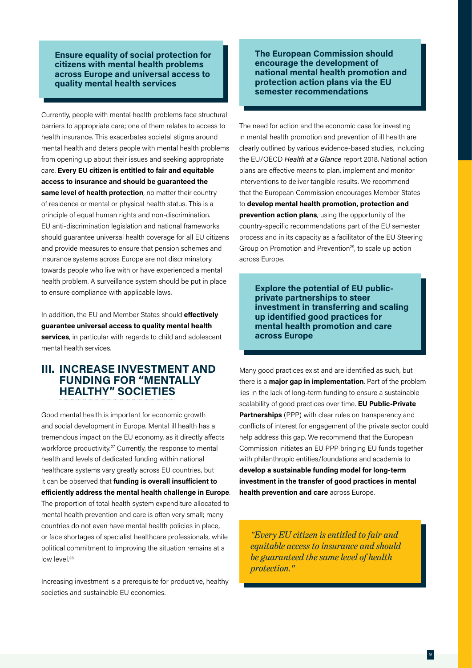**Ensure equality of social protection for citizens with mental health problems across Europe and universal access to quality mental health services**

Currently, people with mental health problems face structural barriers to appropriate care; one of them relates to access to health insurance. This exacerbates societal stigma around mental health and deters people with mental health problems from opening up about their issues and seeking appropriate care. **Every EU citizen is entitled to fair and equitable access to insurance and should be guaranteed the**  same level of health protection, no matter their country of residence or mental or physical health status. This is a principle of equal human rights and non-discrimination. EU anti-discrimination legislation and national frameworks should guarantee universal health coverage for all EU citizens and provide measures to ensure that pension schemes and insurance systems across Europe are not discriminatory towards people who live with or have experienced a mental health problem. A surveillance system should be put in place to ensure compliance with applicable laws.

In addition, the EU and Member States should **effectively guarantee universal access to quality mental health services**, in particular with regards to child and adolescent mental health services.

#### **III. INCREASE INVESTMENT AND FUNDING FOR "MENTALLY HEALTHY" SOCIETIES**

Good mental health is important for economic growth and social development in Europe. Mental ill health has a tremendous impact on the EU economy, as it directly affects workforce productivity.<sup>27</sup> Currently, the response to mental health and levels of dedicated funding within national healthcare systems vary greatly across EU countries, but it can be observed that **funding is overall insufficient to efficiently address the mental health challenge in Europe**. The proportion of total health system expenditure allocated to mental health prevention and care is often very small; many countries do not even have mental health policies in place, or face shortages of specialist healthcare professionals, while political commitment to improving the situation remains at a low level.<sup>28</sup>

Increasing investment is a prerequisite for productive, healthy societies and sustainable EU economies.

**The European Commission should encourage the development of national mental health promotion and protection action plans via the EU semester recommendations**

The need for action and the economic case for investing in mental health promotion and prevention of ill health are clearly outlined by various evidence-based studies, including the EU/OECD *Health at a Glance* report 2018. National action plans are effective means to plan, implement and monitor interventions to deliver tangible results. We recommend that the European Commission encourages Member States to **develop mental health promotion, protection and prevention action plans**, using the opportunity of the country-specific recommendations part of the EU semester process and in its capacity as a facilitator of the EU Steering Group on Promotion and Prevention<sup>29</sup>, to scale up action across Europe.

**Explore the potential of EU publicprivate partnerships to steer investment in transferring and scaling up identified good practices for mental health promotion and care across Europe** 

Many good practices exist and are identified as such, but there is a **major gap in implementation**. Part of the problem lies in the lack of long-term funding to ensure a sustainable scalability of good practices over time. **EU Public-Private Partnerships** (PPP) with clear rules on transparency and conflicts of interest for engagement of the private sector could help address this gap. We recommend that the European Commission initiates an EU PPP bringing EU funds together with philanthropic entities/foundations and academia to **develop a sustainable funding model for long-term investment in the transfer of good practices in mental health prevention and care** across Europe.

*"Every EU citizen is entitled to fair and equitable access to insurance and should be guaranteed the same level of health protection."*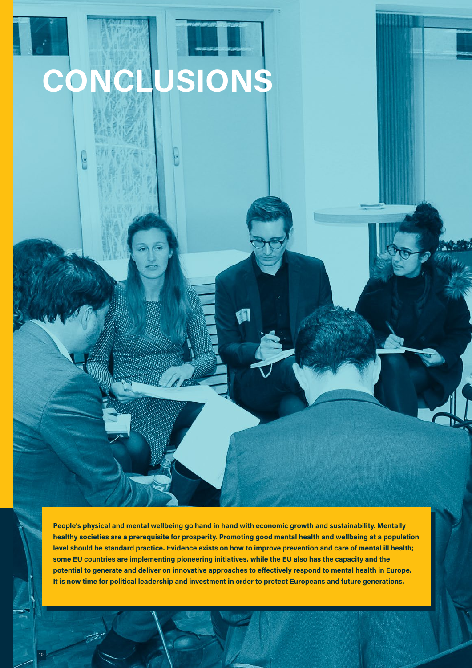# **CONCLUSIONS**

**People's physical and mental wellbeing go hand in hand with economic growth and sustainability. Mentally healthy societies are a prerequisite for prosperity. Promoting good mental health and wellbeing at a population level should be standard practice. Evidence exists on how to improve prevention and care of mental ill health; some EU countries are implementing pioneering initiatives, while the EU also has the capacity and the potential to generate and deliver on innovative approaches to effectively respond to mental health in Europe. It is now time for political leadership and investment in order to protect Europeans and future generations.** 

đ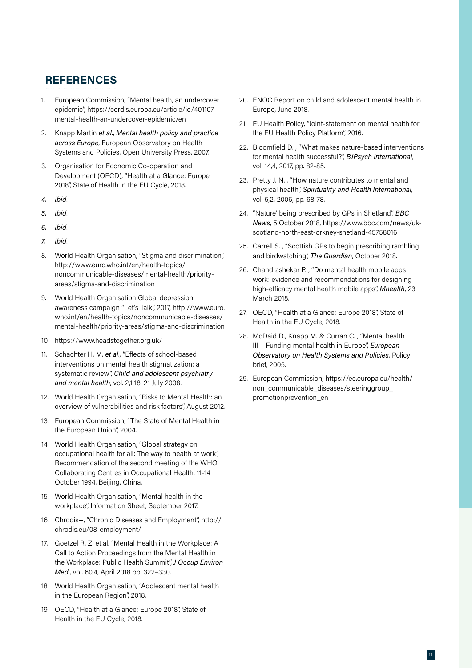#### **REFERENCES**

- 1. European Commission, "Mental health, an undercover epidemic", [https://cordis.europa.eu/article/id/401107](https://cordis.europa.eu/article/id/401107-mental-health-an-undercover-epidemic/en) [mental-health-an-undercover-epidemic/en](https://cordis.europa.eu/article/id/401107-mental-health-an-undercover-epidemic/en)
- 2. Knapp Martin *et al*., *Mental health policy and practice across Europe*, European Observatory on Health Systems and Policies, Open University Press, 2007.
- 3. Organisation for Economic Co-operation and Development (OECD), "Health at a Glance: Europe 2018", State of Health in the EU Cycle, 2018.
- *4. Ibid*.
- *5. Ibid*.
- *6. Ibid*.
- *7. Ibid*.
- 8. World Health Organisation, "Stigma and discrimination", http://www.euro.who.int/en/health-topics/ noncommunicable-diseases/mental-health/priorityareas/stigma-and-discrimination
- 9. World Health Organisation Global depression awareness campaign "Let's Talk", 2017, [http://www.euro.](http://www.euro.who.int/en/health-topics/noncommunicable-diseases/mental-health/priority-areas/stigma-and-discrimination) [who.int/en/health-topics/noncommunicable-diseases/](http://www.euro.who.int/en/health-topics/noncommunicable-diseases/mental-health/priority-areas/stigma-and-discrimination) [mental-health/priority-areas/stigma-and-discrimination](http://www.euro.who.int/en/health-topics/noncommunicable-diseases/mental-health/priority-areas/stigma-and-discrimination)
- 10. https://www.headstogether.org.uk/
- 11. Schachter H. M. *et al*., "Effects of school-based interventions on mental health stigmatization: a systematic review", *Child and adolescent psychiatry and mental health*, vol. 2,1 18, 21 July 2008.
- 12. World Health Organisation, "Risks to Mental Health: an overview of vulnerabilities and risk factors", August 2012.
- 13. European Commission, "The State of Mental Health in the European Union", 2004.
- 14. World Health Organisation, "Global strategy on occupational health for all: The way to health at work", Recommendation of the second meeting of the WHO Collaborating Centres in Occupational Health, 11-14 October 1994, Beijing, China.
- 15. World Health Organisation, "Mental health in the workplace", Information Sheet, September 2017.
- 16. Chrodis+, "Chronic Diseases and Employment", [http://](http://chrodis.eu/08-employment/) [chrodis.eu/08-employment/](http://chrodis.eu/08-employment/)
- 17. Goetzel R. Z. et.al, "Mental Health in the Workplace: A Call to Action Proceedings from the Mental Health in the Workplace: Public Health Summit", *J Occup Environ Med*., vol. 60,4, April 2018 pp. 322–330.
- 18. World Health Organisation, "Adolescent mental health in the European Region", 2018.
- 19. OECD, "Health at a Glance: Europe 2018", State of Health in the EU Cycle, 2018.
- 20. ENOC Report on child and adolescent mental health in Europe, June 2018.
- 21. EU Health Policy, "Joint-statement on mental health for the EU Health Policy Platform", 2016.
- 22. Bloomfield D. , "What makes nature-based interventions for mental health successful?", *BJPsych international*, vol. 14,4, 2017, pp. 82-85.
- 23. Pretty J. N. , "How nature contributes to mental and physical health", *Spirituality and Health International,*  vol. 5,2, 2006, pp. 68-78.
- 24. "Nature' being prescribed by GPs in Shetland", *BBC News*, 5 October 2018, https://www.bbc.com/news/ukscotland-north-east-orkney-shetland-45758016
- 25. Carrell S. , "Scottish GPs to begin prescribing rambling and birdwatching", *The Guardian*, October 2018.
- 26. Chandrashekar P. , "Do mental health mobile apps work: evidence and recommendations for designing high-efficacy mental health mobile apps", *Mhealth*, 23 March 2018.
- 27. OECD, "Health at a Glance: Europe 2018", State of Health in the EU Cycle, 2018.
- 28. McDaid D., Knapp M. & Curran C. , "Mental health III – Funding mental health in Europe", *European Observatory on Health Systems and Policies*, Policy brief, 2005.
- 29. European Commission, https://ec.europa.eu/health/ non communicable diseases/steeringgroup promotionprevention\_en